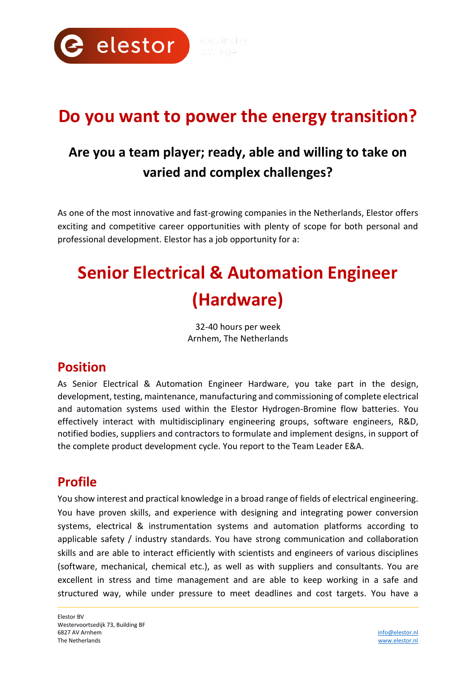

## **Do you want to power the energy transition?**

## **Are you a team player; ready, able and willing to take on varied and complex challenges?**

As one of the most innovative and fast-growing companies in the Netherlands, Elestor offers exciting and competitive career opportunities with plenty of scope for both personal and professional development. Elestor has a job opportunity for a:

# **Senior Electrical & Automation Engineer (Hardware)**

32-40 hours per week Arnhem, The Netherlands

## **Position**

As Senior Electrical & Automation Engineer Hardware, you take part in the design, development, testing, maintenance, manufacturing and commissioning of complete electrical and automation systems used within the Elestor Hydrogen-Bromine flow batteries. You effectively interact with multidisciplinary engineering groups, software engineers, R&D, notified bodies, suppliers and contractors to formulate and implement designs, in support of the complete product development cycle. You report to the Team Leader E&A.

## **Profile**

You show interest and practical knowledge in a broad range of fields of electrical engineering. You have proven skills, and experience with designing and integrating power conversion systems, electrical & instrumentation systems and automation platforms according to applicable safety / industry standards. You have strong communication and collaboration skills and are able to interact efficiently with scientists and engineers of various disciplines (software, mechanical, chemical etc.), as well as with suppliers and consultants. You are excellent in stress and time management and are able to keep working in a safe and structured way, while under pressure to meet deadlines and cost targets. You have a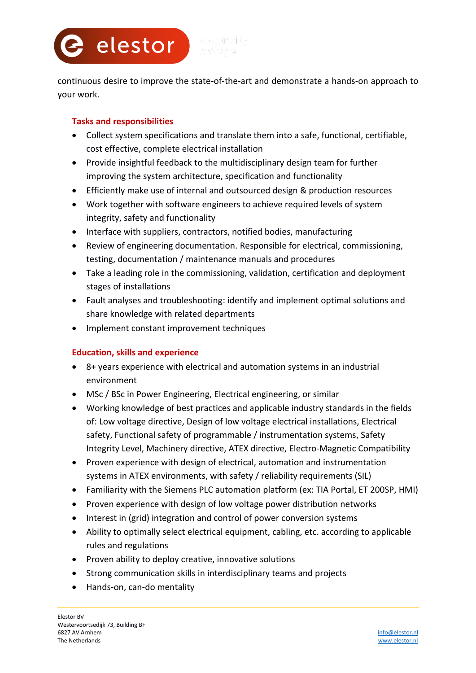**2** elestor

continuous desire to improve the state-of-the-art and demonstrate a hands-on approach to your work.

#### **Tasks and responsibilities**

- Collect system specifications and translate them into a safe, functional, certifiable, cost effective, complete electrical installation
- Provide insightful feedback to the multidisciplinary design team for further improving the system architecture, specification and functionality
- Efficiently make use of internal and outsourced design & production resources
- Work together with software engineers to achieve required levels of system integrity, safety and functionality
- Interface with suppliers, contractors, notified bodies, manufacturing
- Review of engineering documentation. Responsible for electrical, commissioning, testing, documentation / maintenance manuals and procedures
- Take a leading role in the commissioning, validation, certification and deployment stages of installations
- Fault analyses and troubleshooting: identify and implement optimal solutions and share knowledge with related departments
- Implement constant improvement techniques

#### **Education, skills and experience**

- 8+ years experience with electrical and automation systems in an industrial environment
- MSc / BSc in Power Engineering, Electrical engineering, or similar
- Working knowledge of best practices and applicable industry standards in the fields of: Low voltage directive, Design of low voltage electrical installations, Electrical safety, Functional safety of programmable / instrumentation systems, Safety Integrity Level, Machinery directive, ATEX directive, Electro-Magnetic Compatibility
- Proven experience with design of electrical, automation and instrumentation systems in ATEX environments, with safety / reliability requirements (SIL)
- Familiarity with the Siemens PLC automation platform (ex: TIA Portal, ET 200SP, HMI)
- Proven experience with design of low voltage power distribution networks
- Interest in (grid) integration and control of power conversion systems
- Ability to optimally select electrical equipment, cabling, etc. according to applicable rules and regulations
- Proven ability to deploy creative, innovative solutions
- Strong communication skills in interdisciplinary teams and projects
- Hands-on, can-do mentality